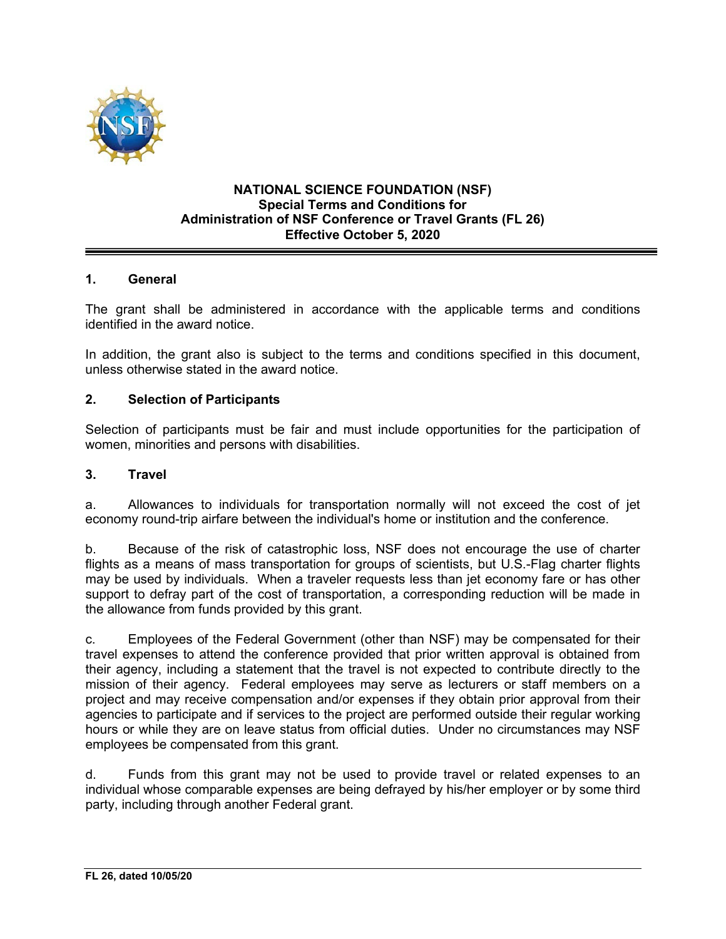

#### **NATIONAL SCIENCE FOUNDATION (NSF) Special Terms and Conditions for Administration of NSF Conference or Travel Grants (FL 26) Effective October 5, 2020**

## **1. General**

The grant shall be administered in accordance with the applicable terms and conditions identified in the award notice.

In addition, the grant also is subject to the terms and conditions specified in this document, unless otherwise stated in the award notice.

#### **2. Selection of Participants**

Selection of participants must be fair and must include opportunities for the participation of women, minorities and persons with disabilities.

#### **3. Travel**

a. Allowances to individuals for transportation normally will not exceed the cost of jet economy round-trip airfare between the individual's home or institution and the conference.

b. Because of the risk of catastrophic loss, NSF does not encourage the use of charter flights as a means of mass transportation for groups of scientists, but U.S.-Flag charter flights may be used by individuals. When a traveler requests less than jet economy fare or has other support to defray part of the cost of transportation, a corresponding reduction will be made in the allowance from funds provided by this grant.

c. Employees of the Federal Government (other than NSF) may be compensated for their travel expenses to attend the conference provided that prior written approval is obtained from their agency, including a statement that the travel is not expected to contribute directly to the mission of their agency. Federal employees may serve as lecturers or staff members on a project and may receive compensation and/or expenses if they obtain prior approval from their agencies to participate and if services to the project are performed outside their regular working hours or while they are on leave status from official duties. Under no circumstances may NSF employees be compensated from this grant.

d. Funds from this grant may not be used to provide travel or related expenses to an individual whose comparable expenses are being defrayed by his/her employer or by some third party, including through another Federal grant.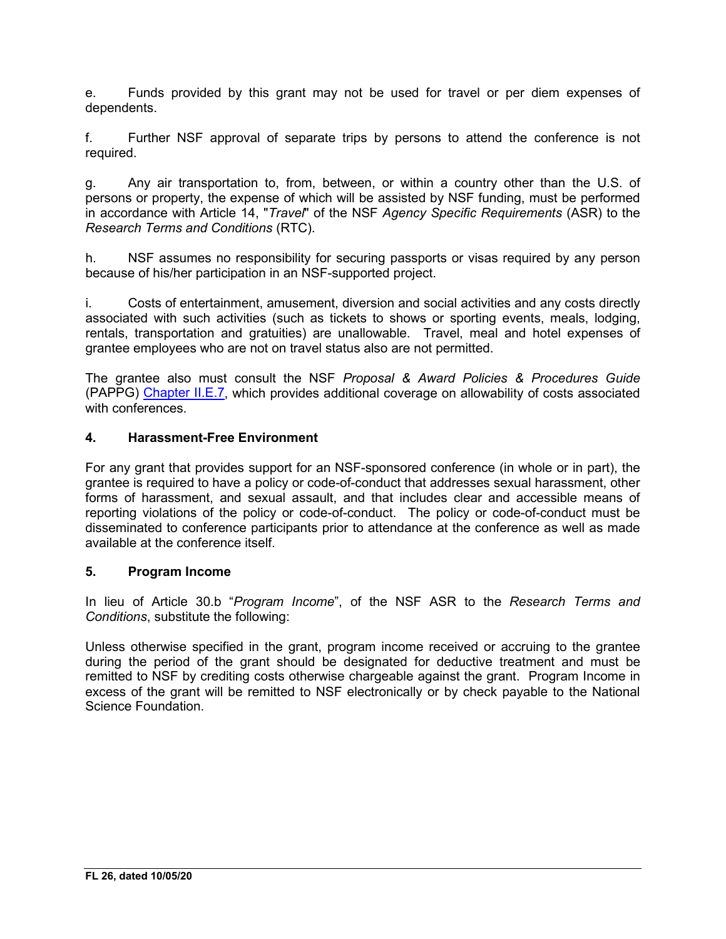e. Funds provided by this grant may not be used for travel or per diem expenses of dependents.

f. Further NSF approval of separate trips by persons to attend the conference is not required.

g. Any air transportation to, from, between, or within a country other than the U.S. of persons or property, the expense of which will be assisted by NSF funding, must be performed in accordance with Article 14, "*Travel*" of the NSF *Agency Specific Requirements* (ASR) to the *Research Terms and Conditions* (RTC).

h. NSF assumes no responsibility for securing passports or visas required by any person because of his/her participation in an NSF-supported project.

i. Costs of entertainment, amusement, diversion and social activities and any costs directly associated with such activities (such as tickets to shows or sporting events, meals, lodging, rentals, transportation and gratuities) are unallowable. Travel, meal and hotel expenses of grantee employees who are not on travel status also are not permitted.

The grantee also must consult the NSF *Proposal & Award Policies & Procedures Guide* (PAPPG) [Chapter II.E.7,](https://nsf.gov/pubs/policydocs/pappg20_1/pappg_2.jsp#IIE7) which provides additional coverage on allowability of costs associated with conferences

## **4. Harassment-Free Environment**

For any grant that provides support for an NSF-sponsored conference (in whole or in part), the grantee is required to have a policy or code-of-conduct that addresses sexual harassment, other forms of harassment, and sexual assault, and that includes clear and accessible means of reporting violations of the policy or code-of-conduct. The policy or code-of-conduct must be disseminated to conference participants prior to attendance at the conference as well as made available at the conference itself.

## **5. Program Income**

In lieu of Article 30.b "*Program Income*", of the NSF ASR to the *Research Terms and Conditions*, substitute the following:

Unless otherwise specified in the grant, program income received or accruing to the grantee during the period of the grant should be designated for deductive treatment and must be remitted to NSF by crediting costs otherwise chargeable against the grant. Program Income in excess of the grant will be remitted to NSF electronically or by check payable to the National Science Foundation.